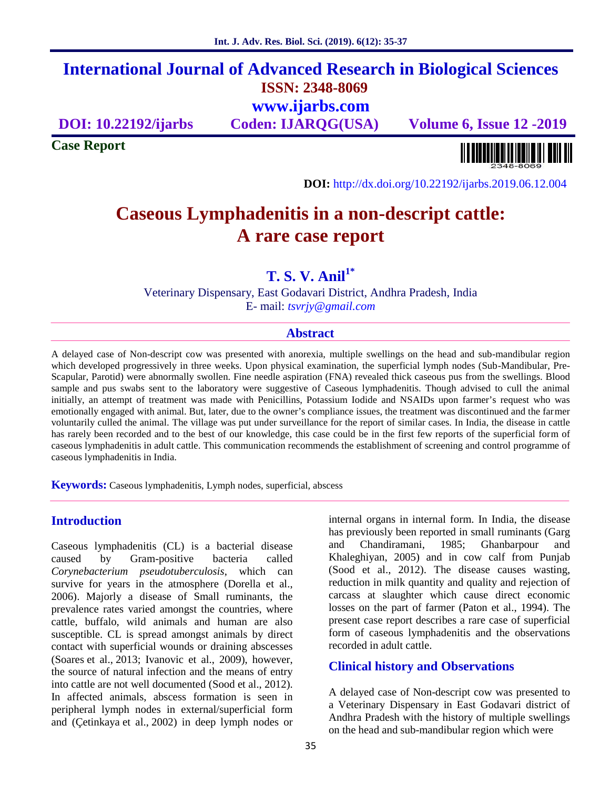# **International Journal of Advanced Research in Biological Sciences ISSN: 2348-8069 www.ijarbs.com**

**DOI: 10.22192/ijarbs Coden: IJARQG(USA) Volume 6, Issue 12 -2019**

**Case Report**

**DOI:** http://dx.doi.org/10.22192/ijarbs.2019.06.12.004

# **Caseous Lymphadenitis in a non-descript cattle: A rare case report**

**T. S. V. Anil1\***

Veterinary Dispensary, East Godavari District, Andhra Pradesh, India E- mail: *tsvrjy@gmail.com*

#### **Abstract**

A delayed case of Non-descript cow was presented with anorexia, multiple swellings on the head and sub-mandibular region which developed progressively in three weeks. Upon physical examination, the superficial lymph nodes (Sub-Mandibular, Pre- Scapular, Parotid) were abnormally swollen. Fine needle aspiration (FNA) revealed thick caseous pus from the swellings. Blood sample and pus swabs sent to the laboratory were suggestive of Caseous lymphadenitis. Though advised to cull the animal initially, an attempt of treatment was made with Penicillins, Potassium Iodide and NSAIDs upon farmer's request who was emotionally engaged with animal. But, later, due to the owner's compliance issues, the treatment was discontinued and the farmer voluntarily culled the animal. The village was put under surveillance for the report of similar cases. In India, the disease in cattle has rarely been recorded and to the best of our knowledge, this case could be in the first few reports of the superficial form of caseous lymphadenitis in adult cattle. This communication recommends the establishment of screening and control programme of caseous lymphadenitis in India.

**Keywords:** Caseous lymphadenitis, Lymph nodes, superficial, abscess

### **Introduction**

Caseous lymphadenitis (CL) is a bacterial disease caused by Gram-positive bacteria called *Corynebacterium pseudotuberculosis*, which can survive for years in the atmosphere (Dorella et al., 2006). Majorly a disease of Small ruminants, the prevalence rates varied amongst the countries, where cattle, buffalo, wild animals and human are also susceptible. CL is spread amongst animals by direct contact with superficial wounds or draining abscesses (Soares et al., 2013; Ivanovic et al., 2009), however, the source of natural infection and the means of entry into cattle are not well documented (Sood et al., 2012). In affected animals, abscess formation is seen in peripheral lymph nodes in external/superficial form and (Çetinkaya et al., 2002) in deep lymph nodes or

internal organs in internal form. In India, the disease has previously been reported in small ruminants (Garg Chandiramani, 1985; Ghanbarpour and Khaleghiyan, 2005) and in cow calf from Punjab (Sood et al., 2012). The disease causes wasting, reduction in milk quantity and quality and rejection of carcass at slaughter which cause direct economic losses on the part of farmer (Paton et al., 1994). The present case report describes a rare case of superficial form of caseous lymphadenitis and the observations recorded in adult cattle.

### **Clinical history and Observations**

A delayed case of Non-descript cow was presented to a Veterinary Dispensary in East Godavari district of Andhra Pradesh with the history of multiple swellings on the head and sub-mandibular region which were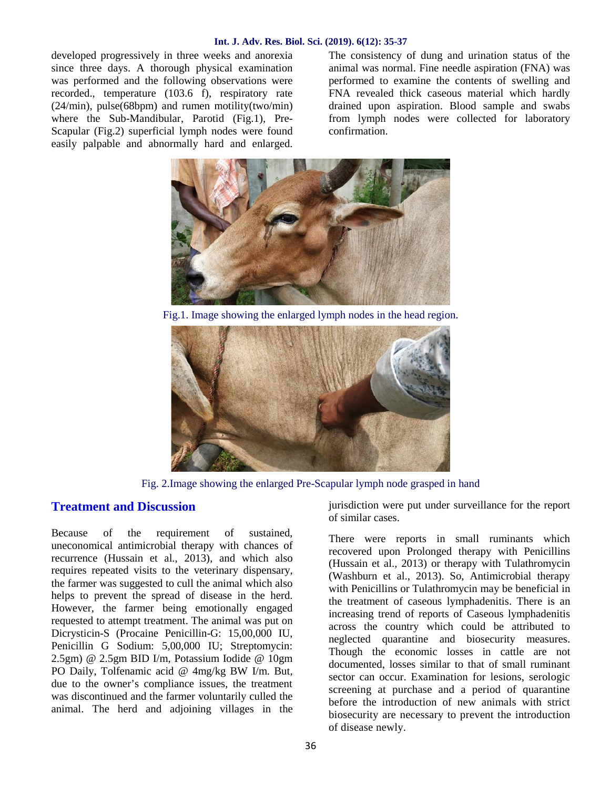#### **Int. J. Adv. Res. Biol. Sci. (2019). 6(12): 35-37**

developed progressively in three weeks and anorexia since three days. A thorough physical examination was performed and the following observations were recorded., temperature (103.6 f), respiratory rate (24/min), pulse(68bpm) and rumen motility(two/min) where the Sub-Mandibular, Parotid (Fig.1), Pre- Scapular (Fig.2) superficial lymph nodes were found easily palpable and abnormally hard and enlarged.

The consistency of dung and urination status of the animal was normal. Fine needle aspiration (FNA) was performed to examine the contents of swelling and FNA revealed thick caseous material which hardly drained upon aspiration. Blood sample and swabs from lymph nodes were collected for laboratory confirmation.



Fig.1. Image showing the enlarged lymph nodes in the head region.



Fig. 2.Image showing the enlarged Pre-Scapular lymph node grasped in hand

# **Treatment and Discussion**

Because of the requirement of sustained, uneconomical antimicrobial therapy with chances of recurrence (Hussain et al., 2013), and which also requires repeated visits to the veterinary dispensary, the farmer was suggested to cull the animal which also helps to prevent the spread of disease in the herd. However, the farmer being emotionally engaged requested to attempt treatment. The animal was put on Dicrysticin-S (Procaine Penicillin-G: 15,00,000 IU, Penicillin G Sodium: 5,00,000 IU; Streptomycin: 2.5gm) @ 2.5gm BID I/m, Potassium Iodide @ 10gm PO Daily, Tolfenamic acid @ 4mg/kg BW I/m. But, due to the owner's compliance issues, the treatment was discontinued and the farmer voluntarily culled the animal. The herd and adjoining villages in the jurisdiction were put under surveillance for the report of similar cases.

There were reports in small ruminants which recovered upon Prolonged therapy with Penicillins (Hussain et al., 2013) or therapy with Tulathromycin (Washburn et al., 2013). So, Antimicrobial therapy with Penicillins or Tulathromycin may be beneficial in the treatment of caseous lymphadenitis. There is an increasing trend of reports of Caseous lymphadenitis across the country which could be attributed to neglected quarantine and biosecurity measures. Though the economic losses in cattle are not documented, losses similar to that of small ruminant sector can occur. Examination for lesions, serologic screening at purchase and a period of quarantine before the introduction of new animals with strict biosecurity are necessary to prevent the introduction of disease newly.